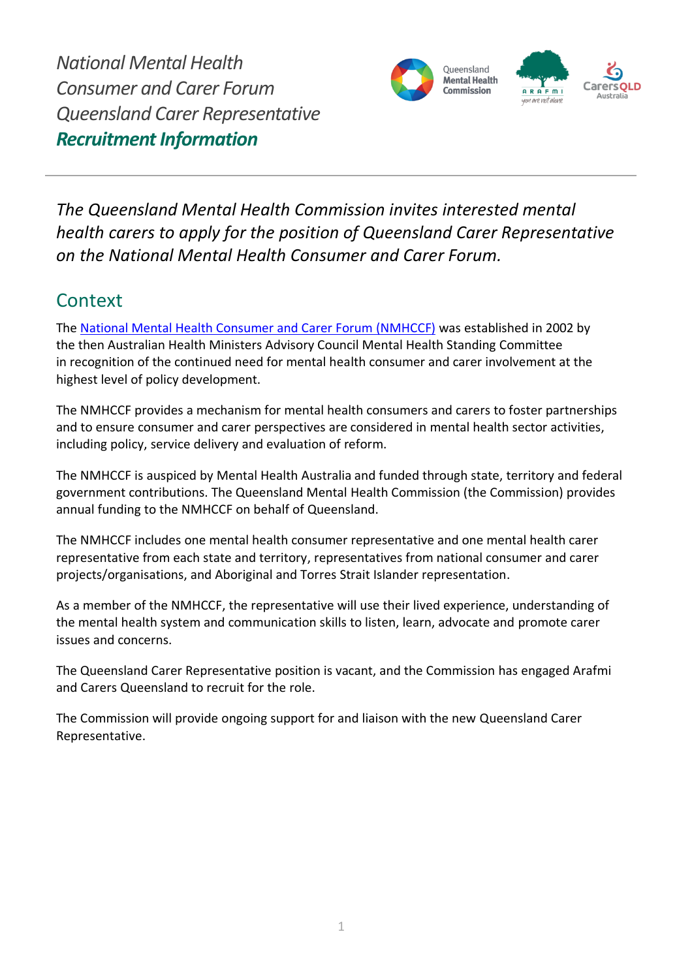*National Mental Health Consumer and Carer Forum Queensland Carer Representative Recruitment Information*



*The Queensland Mental Health Commission invites interested mental health carers to apply for the position of Queensland Carer Representative on the National Mental Health Consumer and Carer Forum.*

### **Context**

The [National Mental Health Consumer and Carer Forum](http://nmhccf.org.au/) (NMHCCF) was established in 2002 by the then Australian Health Ministers Advisory Council Mental Health Standing Committee in recognition of the continued need for mental health consumer and carer involvement at the highest level of policy development.

The NMHCCF provides a mechanism for mental health consumers and carers to foster partnerships and to ensure consumer and carer perspectives are considered in mental health sector activities, including policy, service delivery and evaluation of reform.

The NMHCCF is auspiced by Mental Health Australia and funded through state, territory and federal government contributions. The Queensland Mental Health Commission (the Commission) provides annual funding to the NMHCCF on behalf of Queensland.

The NMHCCF includes one mental health consumer representative and one mental health carer representative from each state and territory, representatives from national consumer and carer projects/organisations, and Aboriginal and Torres Strait Islander representation.

As a member of the NMHCCF, the representative will use their lived experience, understanding of the mental health system and communication skills to listen, learn, advocate and promote carer issues and concerns.

The Queensland Carer Representative position is vacant, and the Commission has engaged Arafmi and Carers Queensland to recruit for the role.

The Commission will provide ongoing support for and liaison with the new Queensland Carer Representative.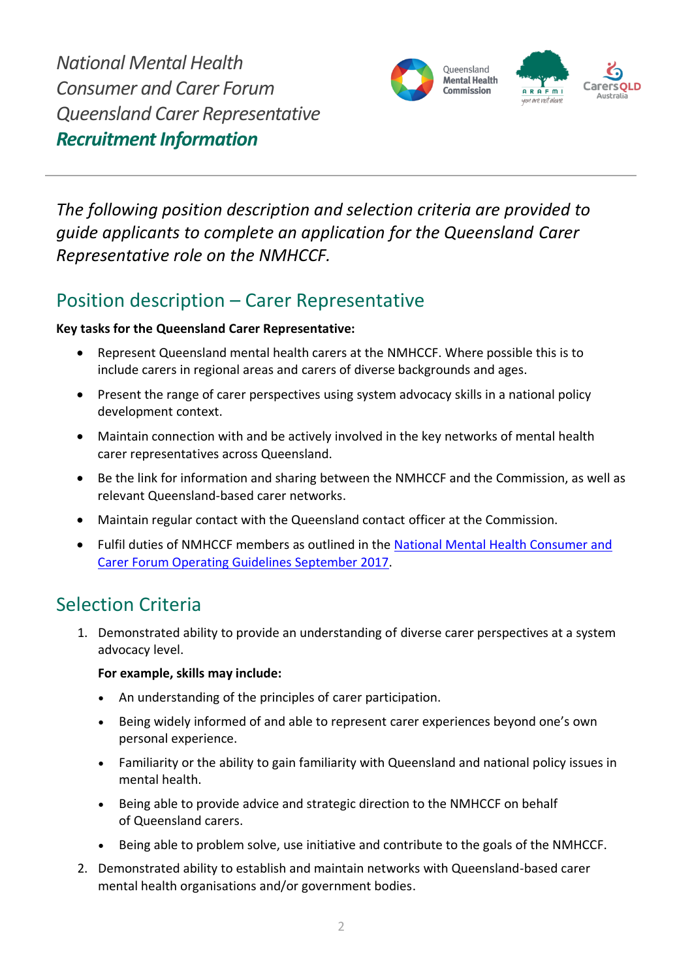*National Mental Health Consumer and Carer Forum Queensland Carer Representative Recruitment Information*



*The following position description and selection criteria are provided to guide applicants to complete an application for the Queensland Carer Representative role on the NMHCCF.*

# Position description – Carer Representative

#### **Key tasks for the Queensland Carer Representative:**

- Represent Queensland mental health carers at the NMHCCF. Where possible this is to include carers in regional areas and carers of diverse backgrounds and ages.
- Present the range of carer perspectives using system advocacy skills in a national policy development context.
- Maintain connection with and be actively involved in the key networks of mental health carer representatives across Queensland.
- Be the link for information and sharing between the NMHCCF and the Commission, as well as relevant Queensland-based carer networks.
- Maintain regular contact with the Queensland contact officer at the Commission.
- Fulfil duties of NMHCCF members as outlined in the [National Mental Health Consumer and](https://nmhccf.org.au/sites/default/files/docs/operating_guidelines_september_2017.pdf)  [Carer Forum Operating Guidelines September 2017.](https://nmhccf.org.au/sites/default/files/docs/operating_guidelines_september_2017.pdf)

## Selection Criteria

1. Demonstrated ability to provide an understanding of diverse carer perspectives at a system advocacy level.

#### **For example, skills may include:**

- An understanding of the principles of carer participation.
- Being widely informed of and able to represent carer experiences beyond one's own personal experience.
- Familiarity or the ability to gain familiarity with Queensland and national policy issues in mental health.
- Being able to provide advice and strategic direction to the NMHCCF on behalf of Queensland carers.
- Being able to problem solve, use initiative and contribute to the goals of the NMHCCF.
- 2. Demonstrated ability to establish and maintain networks with Queensland-based carer mental health organisations and/or government bodies.